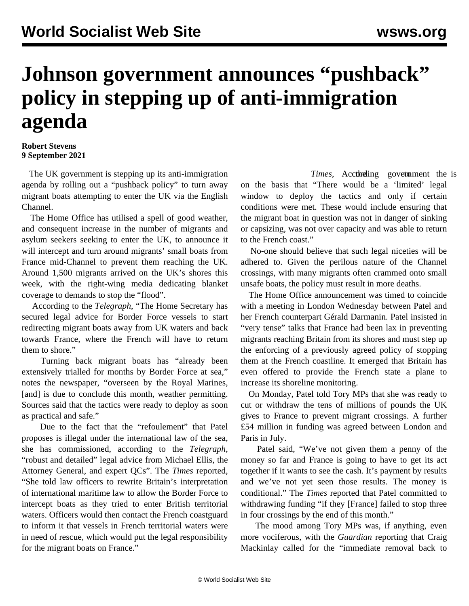## **Johnson government announces "pushback" policy in stepping up of anti-immigration agenda**

## **Robert Stevens 9 September 2021**

 The UK government is stepping up its anti-immigration agenda by rolling out a "pushback policy" to turn away migrant boats attempting to enter the UK via the English Channel.

 The Home Office has utilised a spell of good weather, and consequent increase in the number of migrants and asylum seekers seeking to enter the UK, to announce it will intercept and turn around migrants' small boats from France mid-Channel to prevent them reaching the UK. Around 1,500 migrants arrived on the UK's shores this week, with the right-wing media dedicating blanket coverage to demands to stop the "flood".

 According to the *Telegraph*, "The Home Secretary has secured legal advice for Border Force vessels to start redirecting migrant boats away from UK waters and back towards France, where the French will have to return them to shore."

 Turning back migrant boats has "already been extensively trialled for months by Border Force at sea," notes the newspaper, "overseen by the Royal Marines, [and] is due to conclude this month, weather permitting. Sources said that the tactics were ready to deploy as soon as practical and safe."

 Due to the fact that the "refoulement" that Patel proposes is illegal under the international law of the sea, she has commissioned, according to the *Telegraph*, "robust and detailed" legal advice from Michael Ellis, the Attorney General, and expert QCs". The *Times* reported, "She told law officers to rewrite Britain's interpretation of international maritime law to allow the Border Force to intercept boats as they tried to enter British territorial waters. Officers would then contact the French coastguard to inform it that vessels in French territorial waters were in need of rescue, which would put the legal responsibility for the migrant boats on France."

Times, Acctiveling government the is on the basis that "There would be a 'limited' legal window to deploy the tactics and only if certain conditions were met. These would include ensuring that the migrant boat in question was not in danger of sinking or capsizing, was not over capacity and was able to return to the French coast."

 No-one should believe that such legal niceties will be adhered to. Given the perilous nature of the Channel crossings, with many migrants often crammed onto small unsafe boats, the policy must result in more deaths.

 The Home Office announcement was timed to coincide with a meeting in London Wednesday between Patel and her French counterpart Gérald Darmanin. Patel insisted in "very tense" talks that France had been lax in preventing migrants reaching Britain from its shores and must step up the enforcing of a previously agreed policy of stopping them at the French coastline. It emerged that Britain has even offered to provide the French state a plane to increase its shoreline monitoring.

 On Monday, Patel told Tory MPs that she was ready to cut or withdraw the tens of millions of pounds the UK gives to France to prevent migrant crossings. A further £54 million in funding was agreed between London and Paris in July.

 Patel said, "We've not given them a penny of the money so far and France is going to have to get its act together if it wants to see the cash. It's payment by results and we've not yet seen those results. The money is conditional." The *Times* reported that Patel committed to withdrawing funding "if they [France] failed to stop three in four crossings by the end of this month."

 The mood among Tory MPs was, if anything, even more vociferous, with the *Guardian* reporting that Craig Mackinlay called for the "immediate removal back to